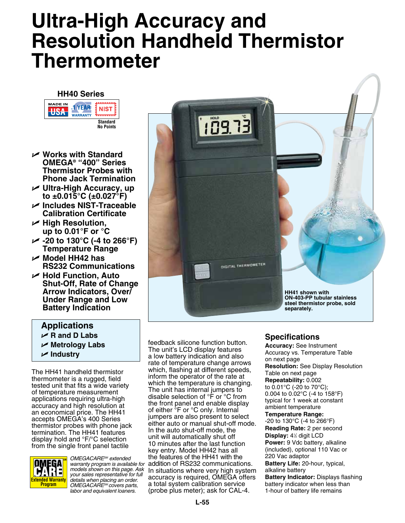# **Ultra-High Accuracy and Resolution Handheld Thermistor Thermometer**

### **HH40 Series MADE IN**



- U **Works with Standard Omega® "400" Series Thermistor Probes with Phone Jack Termination**
- U **Ultra-High Accuracy, up to ±0.015°C (±0.027°F)**
- U **Includes NIST-Traceable Calibration Certificate**
- U **High Resolution, up to 0.01°F or °C**
- U **-20 to 130°C (-4 to 266°F) Temperature Range**
- U **Model HH42 has RS232 Communications**
- U **Hold Function, Auto Shut-Off, Rate of Change Arrow Indicators, Over/ Under Range and Low Battery Indication**

## **Applications**

- U **R and D Labs**
- U **Metrology Labs**
- U **Industry**

The HH41 handheld thermistor thermometer is a rugged, field tested unit that fits a wide variety of temperature measurement applications requiring ultra-high accuracy and high resolution at an economical price. The HH41 accepts OMEGA's 400 Series thermistor probes with phone jack termination. The HH41 features display hold and °F/°C selection from the single front panel tactile



*OMEGACARESM extended warranty program is available for models shown on this page. Ask your sales representative for full details when placing an order. OMEGACARESM covers parts, labor and equivalent loaners.*



feedback silicone function button. The unit's LCD display features a low battery indication and also rate of temperature change arrows which, flashing at different speeds, inform the operator of the rate at which the temperature is changing. The unit has internal jumpers to disable selection of °F or °C from the front panel and enable display of either <sup>°</sup>F or °C only. Internal jumpers are also present to select either auto or manual shut-off mode. In the auto shut-off mode, the unit will automatically shut off 10 minutes after the last function key entry. Model HH42 has all the features of the HH41 with the addition of RS232 communications. In situations where very high system accuracy is required, OMEGA offers a total system calibration service (probe plus meter); ask for CAL-4.

## **Specifications**

**Accuracy:** See Instrument Accuracy vs. Temperature Table on next page **Resolution:** See Display Resolution Table on next page **Repeatability:** 0.002 to 0.01°C (-20 to 70°C); 0.004 to 0.02°C (-4 to 158°F) typical for 1 week at constant ambient temperature **Temperature Range:** -20 to 130°C (-4 to 266°F) **Reading Rate:** 2 per second **Display: 4<sup>1/2</sup> digit LCD Power:** 9 Vdc battery, alkaline (included), optional 110 Vac or 220 Vac adaptor **Battery Life:** 20-hour, typical,

alkaline battery **Battery Indicator:** Displays flashing battery indicator when less than 1-hour of battery life remains